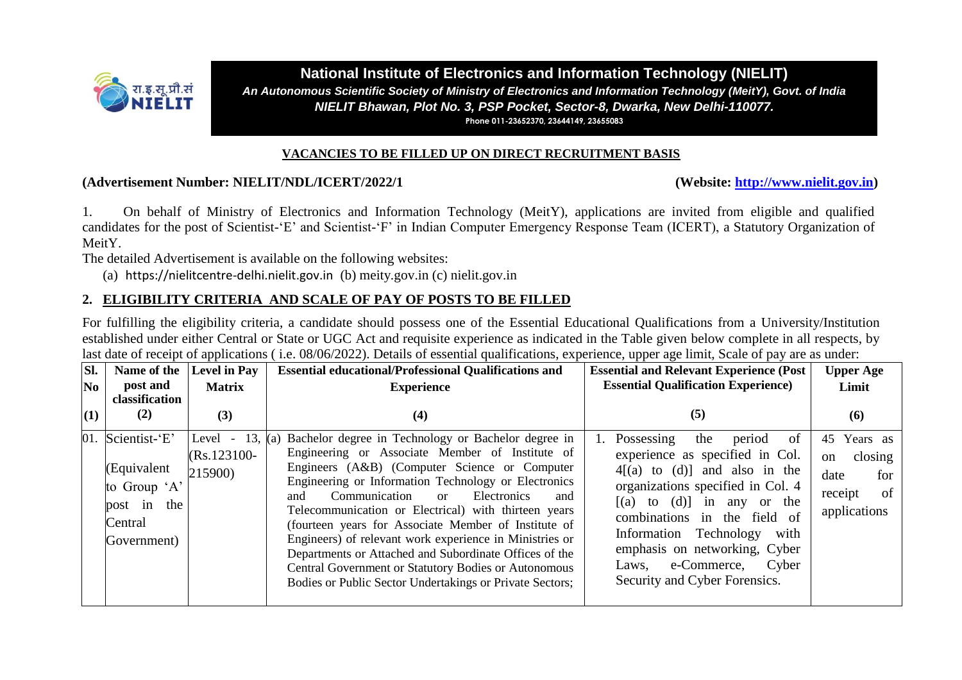

#### **National Institute of Electronics and Information Technology (NIELIT)** *An Autonomous Scientific Society of Ministry of Electronics and Information Technology (MeitY), Govt. of India NIELIT Bhawan, Plot No. 3, PSP Pocket, Sector-8, Dwarka, New Delhi-110077.* **Phone 011-23652370, 23644149, 23655083**

#### **VACANCIES TO BE FILLED UP ON DIRECT RECRUITMENT BASIS**

#### **(Advertisement Number: NIELIT/NDL/ICERT/2022/1 (Website: [http://www.nielit.gov.in\)](http://www.nielit.gov.in/)**

1. On behalf of Ministry of Electronics and Information Technology (MeitY), applications are invited from eligible and qualified candidates for the post of Scientist-'E' and Scientist-'F' in Indian Computer Emergency Response Team (ICERT), a Statutory Organization of MeitY.

The detailed Advertisement is available on the following websites:

(a) [https://nielitcentre-delhi.nielit.gov.in](https://nielitcentre-delhi.nielit.gov.in/) (b) meity.gov.in (c) nielit.gov.in

# **2. ELIGIBILITY CRITERIA AND SCALE OF PAY OF POSTS TO BE FILLED**

For fulfilling the eligibility criteria, a candidate should possess one of the Essential Educational Qualifications from a University/Institution established under either Central or State or UGC Act and requisite experience as indicated in the Table given below complete in all respects, by last date of receipt of applications (i.e. 08/06/2022). Details of essential qualifications, experience, upper age limit, Scale of pay are as under:

| Sl. | Name of the                                                                                  | Level in Pay                                 | <b>Essential educational/Professional Qualifications and</b>                                                                                                                                                                                                                                                                                                                                                                                                                                                                                                                                                                                             | <b>Essential and Relevant Experience (Post</b>                                                                                                                                                                                                                                                                                                        | <b>Upper Age</b>                                                                           |
|-----|----------------------------------------------------------------------------------------------|----------------------------------------------|----------------------------------------------------------------------------------------------------------------------------------------------------------------------------------------------------------------------------------------------------------------------------------------------------------------------------------------------------------------------------------------------------------------------------------------------------------------------------------------------------------------------------------------------------------------------------------------------------------------------------------------------------------|-------------------------------------------------------------------------------------------------------------------------------------------------------------------------------------------------------------------------------------------------------------------------------------------------------------------------------------------------------|--------------------------------------------------------------------------------------------|
| No  | post and                                                                                     | <b>Matrix</b>                                | <b>Experience</b>                                                                                                                                                                                                                                                                                                                                                                                                                                                                                                                                                                                                                                        | <b>Essential Qualification Experience)</b>                                                                                                                                                                                                                                                                                                            | Limit                                                                                      |
| (1) | classification<br>(2)                                                                        | (3)                                          | (4)                                                                                                                                                                                                                                                                                                                                                                                                                                                                                                                                                                                                                                                      | (5)                                                                                                                                                                                                                                                                                                                                                   | (6)                                                                                        |
|     | 01. Scientist-'E'<br>(Equivalent<br>to Group 'A'<br>post in<br>the<br>Central<br>Government) | Level<br>$\sim$<br>$(Rs.123100 -$<br>215900) | 13, (a) Bachelor degree in Technology or Bachelor degree in<br>Engineering or Associate Member of Institute of<br>Engineers (A&B) (Computer Science or Computer<br>Engineering or Information Technology or Electronics<br>Communication<br><b>Electronics</b><br>and<br>and<br>$\alpha$<br>Telecommunication or Electrical) with thirteen years<br>(fourteen years for Associate Member of Institute of<br>Engineers) of relevant work experience in Ministries or<br>Departments or Attached and Subordinate Offices of the<br><b>Central Government or Statutory Bodies or Autonomous</b><br>Bodies or Public Sector Undertakings or Private Sectors; | Possessing<br>the<br>period<br>0t<br>experience as specified in Col.<br>$4[(a)$ to $(d)]$ and also in the<br>organizations specified in Col. 4<br>$[(a)$ to $(d)]$ in any or the<br>combinations in the field of<br>Information Technology<br>with<br>emphasis on networking, Cyber<br>e-Commerce,<br>Cyber<br>Laws,<br>Security and Cyber Forensics. | Years as<br>45<br>closing<br><sub>on</sub><br>date<br>for<br>of<br>receipt<br>applications |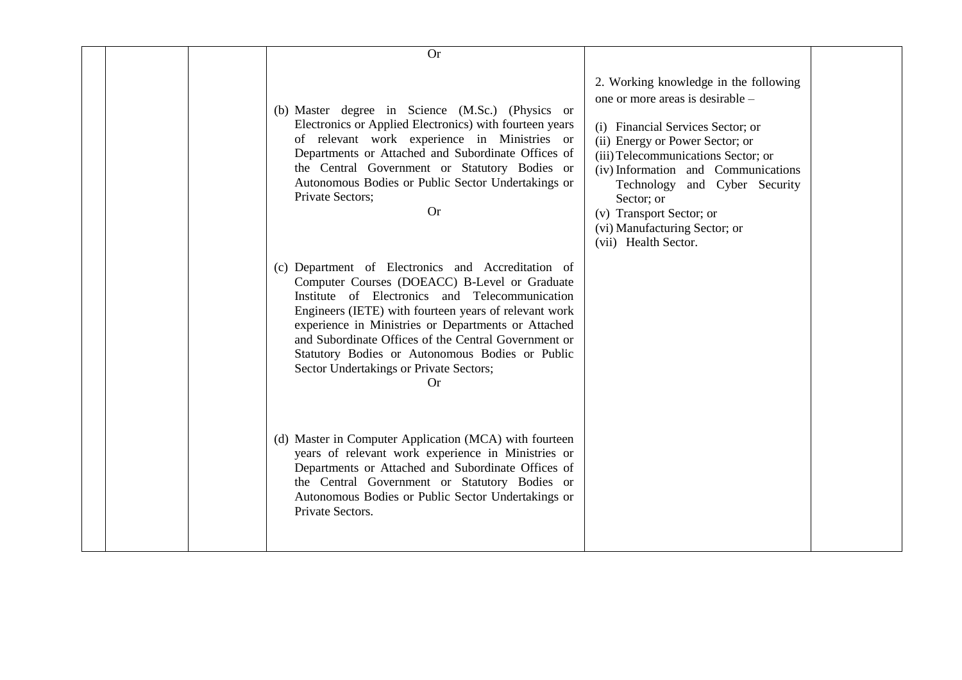| <b>Or</b>                                                                                                                                                                                                                                                                                                                                                                                                                                |                                                                                                                                                                                                                                                                                                                                                                     |
|------------------------------------------------------------------------------------------------------------------------------------------------------------------------------------------------------------------------------------------------------------------------------------------------------------------------------------------------------------------------------------------------------------------------------------------|---------------------------------------------------------------------------------------------------------------------------------------------------------------------------------------------------------------------------------------------------------------------------------------------------------------------------------------------------------------------|
| (b) Master degree in Science (M.Sc.) (Physics or<br>Electronics or Applied Electronics) with fourteen years<br>of relevant work experience in Ministries or<br>Departments or Attached and Subordinate Offices of<br>the Central Government or Statutory Bodies or<br>Autonomous Bodies or Public Sector Undertakings or<br>Private Sectors;<br><b>Or</b>                                                                                | 2. Working knowledge in the following<br>one or more areas is desirable –<br>(i) Financial Services Sector; or<br>(ii) Energy or Power Sector; or<br>(iii) Telecommunications Sector; or<br>(iv) Information and Communications<br>Technology and Cyber Security<br>Sector; or<br>(v) Transport Sector; or<br>(vi) Manufacturing Sector; or<br>(vii) Health Sector. |
| (c) Department of Electronics and Accreditation of<br>Computer Courses (DOEACC) B-Level or Graduate<br>Institute of Electronics and Telecommunication<br>Engineers (IETE) with fourteen years of relevant work<br>experience in Ministries or Departments or Attached<br>and Subordinate Offices of the Central Government or<br>Statutory Bodies or Autonomous Bodies or Public<br>Sector Undertakings or Private Sectors;<br><b>Or</b> |                                                                                                                                                                                                                                                                                                                                                                     |
| (d) Master in Computer Application (MCA) with fourteen<br>years of relevant work experience in Ministries or<br>Departments or Attached and Subordinate Offices of<br>the Central Government or Statutory Bodies or<br>Autonomous Bodies or Public Sector Undertakings or<br>Private Sectors.                                                                                                                                            |                                                                                                                                                                                                                                                                                                                                                                     |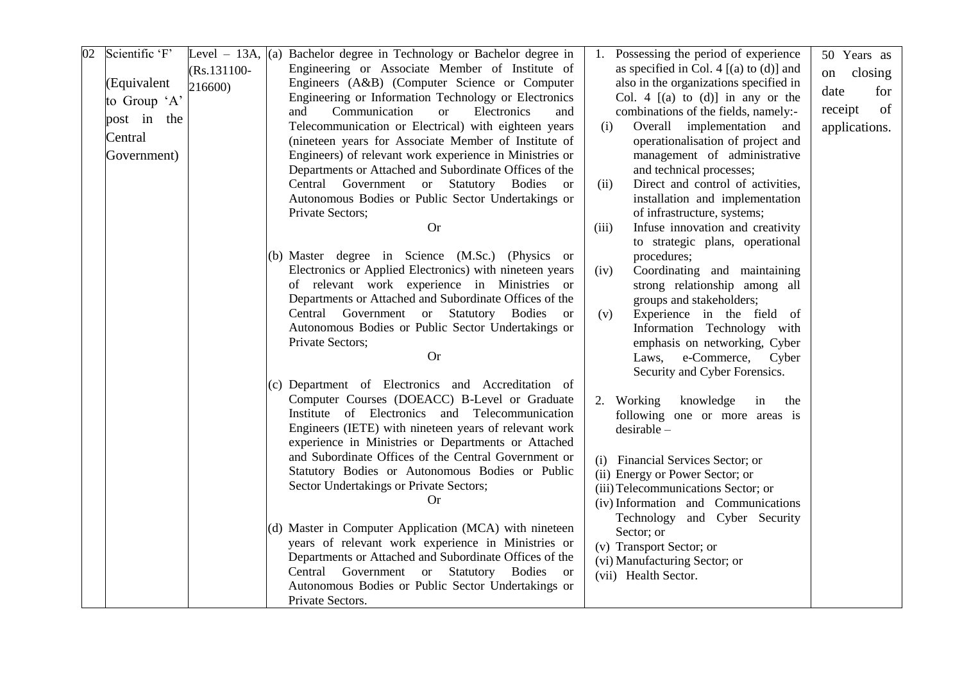| $\overline{02}$ | Scientific 'F' |                | Level $-$ 13A, (a) Bachelor degree in Technology or Bachelor degree in |       | Possessing the period of experience            | 50 Years as   |
|-----------------|----------------|----------------|------------------------------------------------------------------------|-------|------------------------------------------------|---------------|
|                 |                | $(Rs.131100 -$ | Engineering or Associate Member of Institute of                        |       | as specified in Col. 4 $[(a)$ to $(d)]$ and    | closing<br>on |
|                 | (Equivalent    | 216600)        | Engineers (A&B) (Computer Science or Computer                          |       | also in the organizations specified in         | for<br>date   |
|                 | to Group 'A'   |                | Engineering or Information Technology or Electronics                   |       | Col. 4 $[(a)$ to $(d)]$ in any or the          |               |
|                 | post in the    |                | Communication<br>Electronics<br>and<br><b>or</b><br>and                |       | combinations of the fields, namely:-           | of<br>receipt |
|                 |                |                | Telecommunication or Electrical) with eighteen years                   |       | Overall implementation<br>(i)<br>and           | applications. |
|                 | Central        |                | (nineteen years for Associate Member of Institute of                   |       | operationalisation of project and              |               |
|                 | Government)    |                | Engineers) of relevant work experience in Ministries or                |       | management of administrative                   |               |
|                 |                |                | Departments or Attached and Subordinate Offices of the                 |       | and technical processes;                       |               |
|                 |                |                | Central Government or Statutory Bodies or                              | (ii)  | Direct and control of activities,              |               |
|                 |                |                | Autonomous Bodies or Public Sector Undertakings or                     |       | installation and implementation                |               |
|                 |                |                | Private Sectors;                                                       |       | of infrastructure, systems;                    |               |
|                 |                |                | <b>Or</b>                                                              | (iii) | Infuse innovation and creativity               |               |
|                 |                |                | (b) Master degree in Science (M.Sc.) (Physics or                       |       | to strategic plans, operational<br>procedures; |               |
|                 |                |                | Electronics or Applied Electronics) with nineteen years                | (iv)  | Coordinating and maintaining                   |               |
|                 |                |                | of relevant work experience in Ministries or                           |       | strong relationship among all                  |               |
|                 |                |                | Departments or Attached and Subordinate Offices of the                 |       | groups and stakeholders;                       |               |
|                 |                |                | Central Government or Statutory Bodies<br><sub>or</sub>                | (v)   | Experience in the field of                     |               |
|                 |                |                | Autonomous Bodies or Public Sector Undertakings or                     |       | Information Technology with                    |               |
|                 |                |                | Private Sectors;                                                       |       | emphasis on networking, Cyber                  |               |
|                 |                |                | <b>Or</b>                                                              |       | Laws, e-Commerce, Cyber                        |               |
|                 |                |                |                                                                        |       | Security and Cyber Forensics.                  |               |
|                 |                |                | (c) Department of Electronics and Accreditation of                     |       |                                                |               |
|                 |                |                | Computer Courses (DOEACC) B-Level or Graduate                          |       | 2. Working<br>knowledge<br>in<br>the           |               |
|                 |                |                | Institute of Electronics and Telecommunication                         |       | following one or more areas is                 |               |
|                 |                |                | Engineers (IETE) with nineteen years of relevant work                  |       | $desirable -$                                  |               |
|                 |                |                | experience in Ministries or Departments or Attached                    |       |                                                |               |
|                 |                |                | and Subordinate Offices of the Central Government or                   |       | (i) Financial Services Sector; or              |               |
|                 |                |                | Statutory Bodies or Autonomous Bodies or Public                        |       | (ii) Energy or Power Sector; or                |               |
|                 |                |                | Sector Undertakings or Private Sectors;                                |       | (iii) Telecommunications Sector; or            |               |
|                 |                |                | <b>Or</b>                                                              |       | (iv) Information and Communications            |               |
|                 |                |                |                                                                        |       | Technology and Cyber Security                  |               |
|                 |                |                | (d) Master in Computer Application (MCA) with nineteen                 |       | Sector; or                                     |               |
|                 |                |                | years of relevant work experience in Ministries or                     |       | (v) Transport Sector; or                       |               |
|                 |                |                | Departments or Attached and Subordinate Offices of the                 |       | (vi) Manufacturing Sector; or                  |               |
|                 |                |                | Central Government or Statutory Bodies<br><sub>or</sub>                |       | (vii) Health Sector.                           |               |
|                 |                |                | Autonomous Bodies or Public Sector Undertakings or                     |       |                                                |               |
|                 |                |                | Private Sectors.                                                       |       |                                                |               |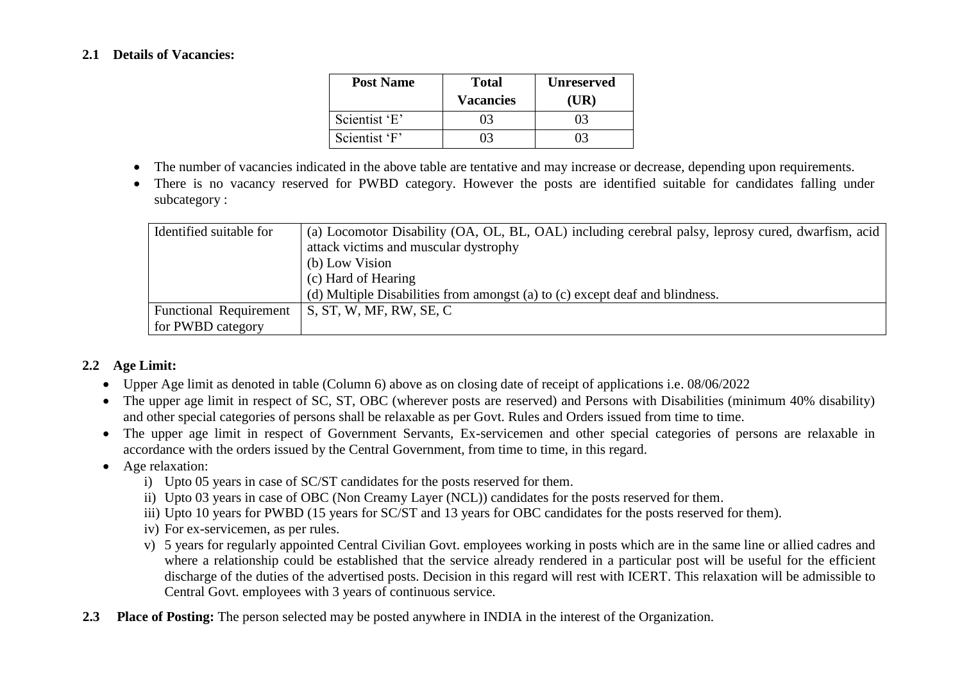#### **2.1 Details of Vacancies:**

| <b>Post Name</b> | <b>Total</b>     | <b>Unreserved</b> |  |
|------------------|------------------|-------------------|--|
|                  | <b>Vacancies</b> | (UR)              |  |
| Scientist 'E'    |                  |                   |  |
| Scientist 'F'    |                  |                   |  |

- The number of vacancies indicated in the above table are tentative and may increase or decrease, depending upon requirements.
- There is no vacancy reserved for PWBD category. However the posts are identified suitable for candidates falling under subcategory :

| Identified suitable for       | (a) Locomotor Disability (OA, OL, BL, OAL) including cerebral palsy, leprosy cured, dwarfism, acid |
|-------------------------------|----------------------------------------------------------------------------------------------------|
|                               | attack victims and muscular dystrophy                                                              |
|                               | (b) Low Vision                                                                                     |
|                               | (c) Hard of Hearing                                                                                |
|                               | (d) Multiple Disabilities from amongst (a) to (c) except deaf and blindness.                       |
| <b>Functional Requirement</b> | S, ST, W, MF, RW, SE, C                                                                            |
| for PWBD category             |                                                                                                    |

## **2.2 Age Limit:**

- Upper Age limit as denoted in table (Column 6) above as on closing date of receipt of applications i.e. 08/06/2022
- The upper age limit in respect of SC, ST, OBC (wherever posts are reserved) and Persons with Disabilities (minimum 40% disability) and other special categories of persons shall be relaxable as per Govt. Rules and Orders issued from time to time.
- The upper age limit in respect of Government Servants, Ex-servicemen and other special categories of persons are relaxable in accordance with the orders issued by the Central Government, from time to time, in this regard.
- Age relaxation:
	- i) Upto 05 years in case of SC/ST candidates for the posts reserved for them.
	- ii) Upto 03 years in case of OBC (Non Creamy Layer (NCL)) candidates for the posts reserved for them.
	- iii) Upto 10 years for PWBD (15 years for SC/ST and 13 years for OBC candidates for the posts reserved for them).
	- iv) For ex-servicemen, as per rules.
	- v) 5 years for regularly appointed Central Civilian Govt. employees working in posts which are in the same line or allied cadres and where a relationship could be established that the service already rendered in a particular post will be useful for the efficient discharge of the duties of the advertised posts. Decision in this regard will rest with ICERT. This relaxation will be admissible to Central Govt. employees with 3 years of continuous service.
- **2.3 Place of Posting:** The person selected may be posted anywhere in INDIA in the interest of the Organization.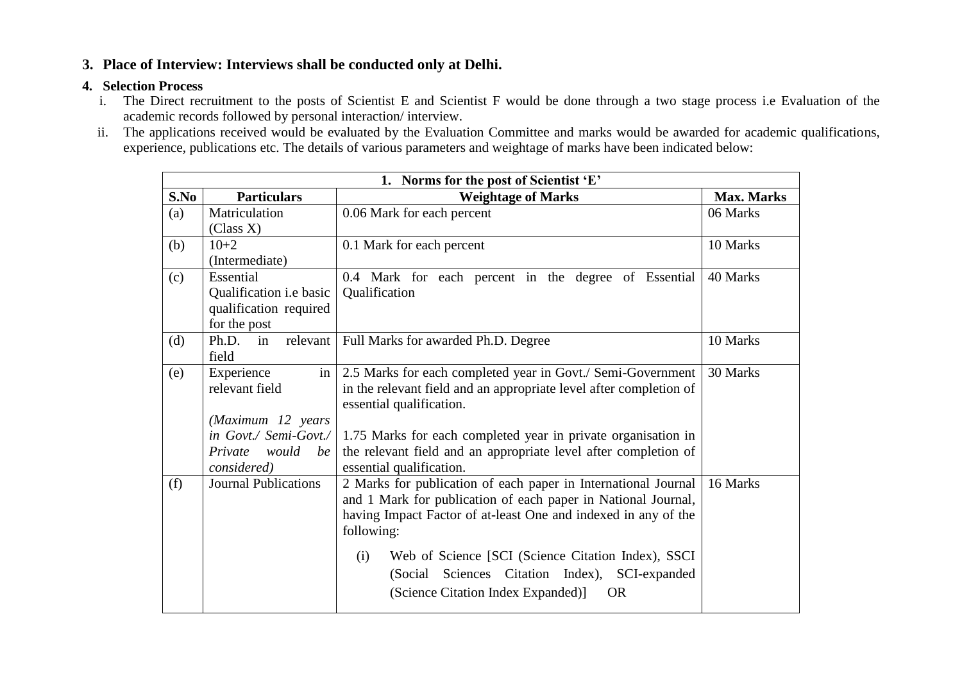# **3. Place of Interview: Interviews shall be conducted only at Delhi.**

## **4. Selection Process**

- i. The Direct recruitment to the posts of Scientist E and Scientist F would be done through a two stage process i.e Evaluation of the academic records followed by personal interaction/ interview.
- ii. The applications received would be evaluated by the Evaluation Committee and marks would be awarded for academic qualifications, experience, publications etc. The details of various parameters and weightage of marks have been indicated below:

|      | 1. Norms for the post of Scientist 'E'                                                                              |                                                                                                                                                                                                                                                                                                                                                                                   |                   |  |  |
|------|---------------------------------------------------------------------------------------------------------------------|-----------------------------------------------------------------------------------------------------------------------------------------------------------------------------------------------------------------------------------------------------------------------------------------------------------------------------------------------------------------------------------|-------------------|--|--|
| S.No | <b>Particulars</b>                                                                                                  | <b>Weightage of Marks</b>                                                                                                                                                                                                                                                                                                                                                         | <b>Max. Marks</b> |  |  |
| (a)  | Matriculation<br>(Class X)                                                                                          | 0.06 Mark for each percent                                                                                                                                                                                                                                                                                                                                                        | 06 Marks          |  |  |
| (b)  | $10+2$<br>(Intermediate)                                                                                            | 0.1 Mark for each percent                                                                                                                                                                                                                                                                                                                                                         | 10 Marks          |  |  |
| (c)  | Essential<br>Qualification i.e basic<br>qualification required<br>for the post                                      | 0.4 Mark for each percent in the degree of Essential<br>Qualification                                                                                                                                                                                                                                                                                                             | 40 Marks          |  |  |
| (d)  | Ph.D.<br>in<br>field                                                                                                | relevant   Full Marks for awarded Ph.D. Degree                                                                                                                                                                                                                                                                                                                                    | 10 Marks          |  |  |
| (e)  | Experience<br>relevant field<br>(Maximum 12 years<br>in Govt./ Semi-Govt./<br>Private<br>would<br>be<br>considered) | in   2.5 Marks for each completed year in Govt./ Semi-Government<br>in the relevant field and an appropriate level after completion of<br>essential qualification.<br>1.75 Marks for each completed year in private organisation in<br>the relevant field and an appropriate level after completion of<br>essential qualification.                                                | 30 Marks          |  |  |
| (f)  | <b>Journal Publications</b>                                                                                         | 2 Marks for publication of each paper in International Journal<br>and 1 Mark for publication of each paper in National Journal,<br>having Impact Factor of at-least One and indexed in any of the<br>following:<br>Web of Science [SCI (Science Citation Index), SSCI<br>(i)<br>(Social Sciences Citation Index), SCI-expanded<br>(Science Citation Index Expanded)]<br><b>OR</b> | 16 Marks          |  |  |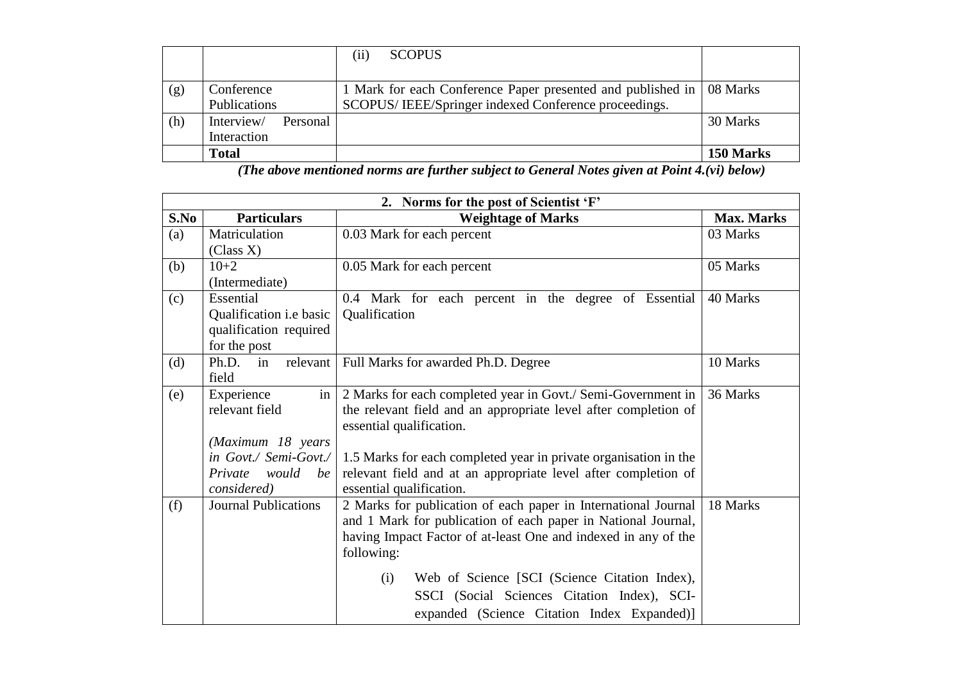|     |                                       | <b>SCOPUS</b><br>$\left(11\right)$                                                                                             |           |
|-----|---------------------------------------|--------------------------------------------------------------------------------------------------------------------------------|-----------|
| (g) | Conference<br><b>Publications</b>     | 1 Mark for each Conference Paper presented and published in   08 Marks<br>SCOPUS/IEEE/Springer indexed Conference proceedings. |           |
| (h) | Interview/<br>Personal<br>Interaction |                                                                                                                                | 30 Marks  |
|     | <b>Total</b>                          |                                                                                                                                | 150 Marks |

*(The above mentioned norms are further subject to General Notes given at Point 4.(vi) below)*

|      | 2. Norms for the post of Scientist 'F' |                                                                  |                   |  |  |
|------|----------------------------------------|------------------------------------------------------------------|-------------------|--|--|
| S.No | <b>Particulars</b>                     | <b>Weightage of Marks</b>                                        | <b>Max. Marks</b> |  |  |
| (a)  | Matriculation                          | 0.03 Mark for each percent                                       | 03 Marks          |  |  |
|      | (Class X)                              |                                                                  |                   |  |  |
| (b)  | $10+2$                                 | 0.05 Mark for each percent                                       | 05 Marks          |  |  |
|      | (Intermediate)                         |                                                                  |                   |  |  |
| (c)  | Essential                              | 0.4 Mark for each percent in the degree of Essential             | 40 Marks          |  |  |
|      | Qualification <i>i.e</i> basic         | Qualification                                                    |                   |  |  |
|      | qualification required                 |                                                                  |                   |  |  |
|      | for the post                           |                                                                  |                   |  |  |
| (d)  | Ph.D.<br>in                            | relevant   Full Marks for awarded Ph.D. Degree                   | 10 Marks          |  |  |
|      | field                                  |                                                                  |                   |  |  |
| (e)  | Experience<br>in                       | 2 Marks for each completed year in Govt./ Semi-Government in     | 36 Marks          |  |  |
|      | relevant field                         | the relevant field and an appropriate level after completion of  |                   |  |  |
|      |                                        | essential qualification.                                         |                   |  |  |
|      | (Maximum 18 years                      |                                                                  |                   |  |  |
|      | in Govt./ Semi-Govt./                  | 1.5 Marks for each completed year in private organisation in the |                   |  |  |
|      | Private would<br>be                    | relevant field and at an appropriate level after completion of   |                   |  |  |
|      | considered)                            | essential qualification.                                         |                   |  |  |
| (f)  | <b>Journal Publications</b>            | 2 Marks for publication of each paper in International Journal   | 18 Marks          |  |  |
|      |                                        | and 1 Mark for publication of each paper in National Journal,    |                   |  |  |
|      |                                        | having Impact Factor of at-least One and indexed in any of the   |                   |  |  |
|      |                                        | following:                                                       |                   |  |  |
|      |                                        | Web of Science [SCI (Science Citation Index),<br>(i)             |                   |  |  |
|      |                                        | SSCI (Social Sciences Citation Index), SCI-                      |                   |  |  |
|      |                                        | expanded (Science Citation Index Expanded)]                      |                   |  |  |
|      |                                        |                                                                  |                   |  |  |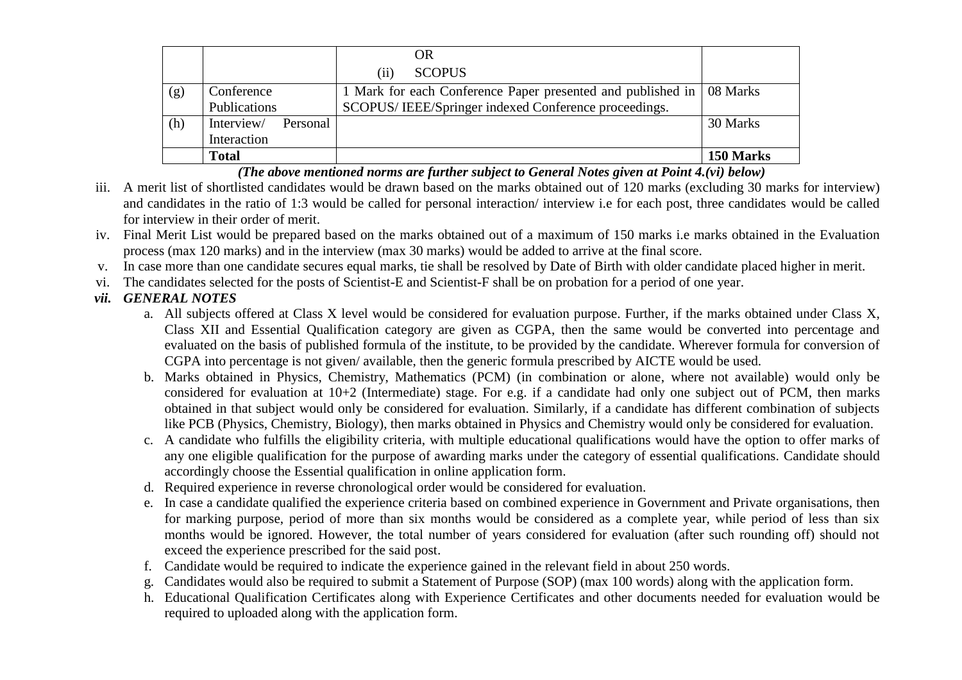|     |                        | <b>OR</b>                                                              |           |
|-----|------------------------|------------------------------------------------------------------------|-----------|
|     |                        | <b>SCOPUS</b><br>(i)                                                   |           |
| (g) | Conference             | 1 Mark for each Conference Paper presented and published in   08 Marks |           |
|     | <b>Publications</b>    | SCOPUS/IEEE/Springer indexed Conference proceedings.                   |           |
| (h) | Interview/<br>Personal |                                                                        | 30 Marks  |
|     | Interaction            |                                                                        |           |
|     | Total                  |                                                                        | 150 Marks |

*(The above mentioned norms are further subject to General Notes given at Point 4.(vi) below)*

- iii. A merit list of shortlisted candidates would be drawn based on the marks obtained out of 120 marks (excluding 30 marks for interview) and candidates in the ratio of 1:3 would be called for personal interaction/ interview i.e for each post, three candidates would be called for interview in their order of merit.
- iv. Final Merit List would be prepared based on the marks obtained out of a maximum of 150 marks i.e marks obtained in the Evaluation process (max 120 marks) and in the interview (max 30 marks) would be added to arrive at the final score.
- v. In case more than one candidate secures equal marks, tie shall be resolved by Date of Birth with older candidate placed higher in merit.
- vi. The candidates selected for the posts of Scientist-E and Scientist-F shall be on probation for a period of one year.

# *vii. GENERAL NOTES*

- a. All subjects offered at Class X level would be considered for evaluation purpose. Further, if the marks obtained under Class X, Class XII and Essential Qualification category are given as CGPA, then the same would be converted into percentage and evaluated on the basis of published formula of the institute, to be provided by the candidate. Wherever formula for conversion of CGPA into percentage is not given/ available, then the generic formula prescribed by AICTE would be used.
- b. Marks obtained in Physics, Chemistry, Mathematics (PCM) (in combination or alone, where not available) would only be considered for evaluation at 10+2 (Intermediate) stage. For e.g. if a candidate had only one subject out of PCM, then marks obtained in that subject would only be considered for evaluation. Similarly, if a candidate has different combination of subjects like PCB (Physics, Chemistry, Biology), then marks obtained in Physics and Chemistry would only be considered for evaluation.
- c. A candidate who fulfills the eligibility criteria, with multiple educational qualifications would have the option to offer marks of any one eligible qualification for the purpose of awarding marks under the category of essential qualifications. Candidate should accordingly choose the Essential qualification in online application form.
- d. Required experience in reverse chronological order would be considered for evaluation.
- e. In case a candidate qualified the experience criteria based on combined experience in Government and Private organisations, then for marking purpose, period of more than six months would be considered as a complete year, while period of less than six months would be ignored. However, the total number of years considered for evaluation (after such rounding off) should not exceed the experience prescribed for the said post.
- f. Candidate would be required to indicate the experience gained in the relevant field in about 250 words.
- g. Candidates would also be required to submit a Statement of Purpose (SOP) (max 100 words) along with the application form.
- h. Educational Qualification Certificates along with Experience Certificates and other documents needed for evaluation would be required to uploaded along with the application form.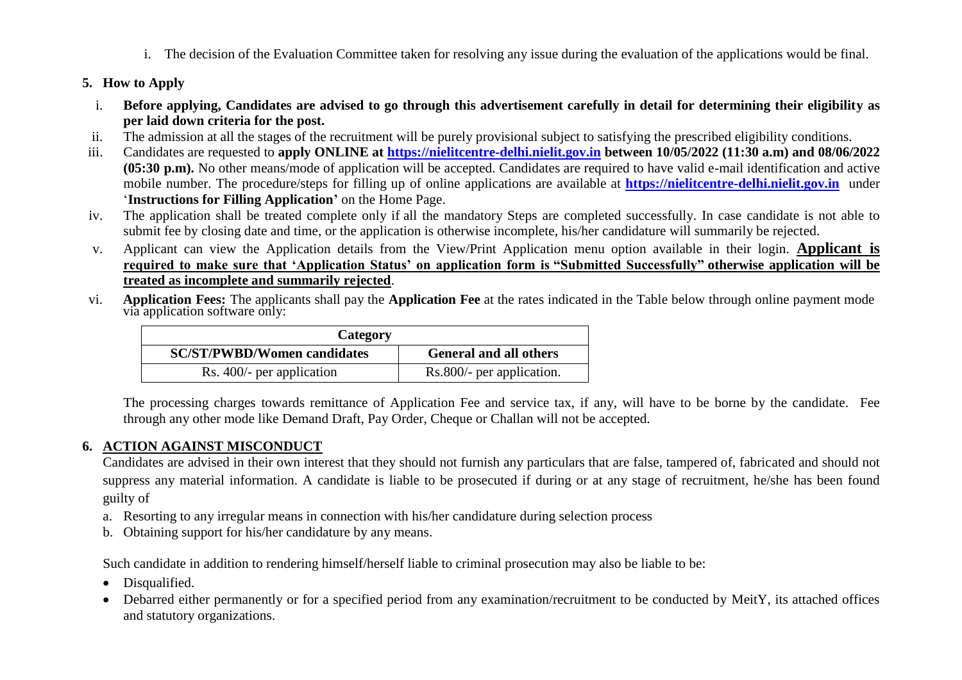i. The decision of the Evaluation Committee taken for resolving any issue during the evaluation of the applications would be final.

## **5. How to Apply**

- i. **Before applying, Candidates are advised to go through this advertisement carefully in detail for determining their eligibility as per laid down criteria for the post.**
- ii. The admission at all the stages of the recruitment will be purely provisional subject to satisfying the prescribed eligibility conditions.
- iii. Candidates are requested to **apply ONLINE at [https://nielitcentre-delhi.nielit.gov.in](https://nielitcentre-delhi.nielit.gov.in/) between 10/05/2022 (11:30 a.m) and 08/06/2022 (05:30 p.m).** No other means/mode of application will be accepted. Candidates are required to have valid e-mail identification and active mobile number. The procedure/steps for filling up of online applications are available at **[https://nielitcentre-delhi.nielit.gov.in](https://nielitcentre-delhi.nielit.gov.in/)** under '**Instructions for Filling Application"** on the Home Page.
- iv. The application shall be treated complete only if all the mandatory Steps are completed successfully. In case candidate is not able to submit fee by closing date and time, or the application is otherwise incomplete, his/her candidature will summarily be rejected.
- v. Applicant can view the Application details from the View/Print Application menu option available in their login. **Applicant is required to make sure that "Application Status" on application form is "Submitted Successfully" otherwise application will be treated as incomplete and summarily rejected**.
- vi. **Application Fees:** The applicants shall pay the **Application Fee** at the rates indicated in the Table below through online payment mode via application software only:

| Category                           |                               |  |  |
|------------------------------------|-------------------------------|--|--|
| <b>SC/ST/PWBD/Women candidates</b> | <b>General and all others</b> |  |  |
| Rs. 400/- per application          | Rs.800/- per application.     |  |  |

The processing charges towards remittance of Application Fee and service tax, if any, will have to be borne by the candidate. Fee through any other mode like Demand Draft, Pay Order, Cheque or Challan will not be accepted.

## **6. ACTION AGAINST MISCONDUCT**

Candidates are advised in their own interest that they should not furnish any particulars that are false, tampered of, fabricated and should not suppress any material information. A candidate is liable to be prosecuted if during or at any stage of recruitment, he/she has been found guilty of

- a. Resorting to any irregular means in connection with his/her candidature during selection process
- b. Obtaining support for his/her candidature by any means.

Such candidate in addition to rendering himself/herself liable to criminal prosecution may also be liable to be:

- Disqualified.
- Debarred either permanently or for a specified period from any examination/recruitment to be conducted by MeitY, its attached offices and statutory organizations.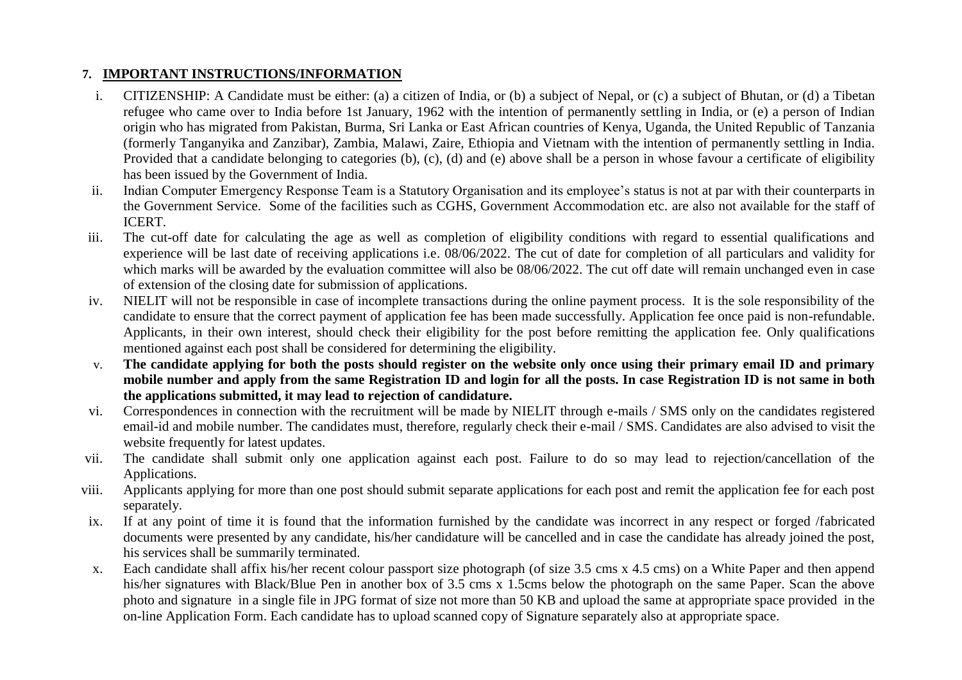# **7. IMPORTANT INSTRUCTIONS/INFORMATION**

- i. CITIZENSHIP: A Candidate must be either: (a) a citizen of India, or (b) a subject of Nepal, or (c) a subject of Bhutan, or (d) a Tibetan refugee who came over to India before 1st January, 1962 with the intention of permanently settling in India, or (e) a person of Indian origin who has migrated from Pakistan, Burma, Sri Lanka or East African countries of Kenya, Uganda, the United Republic of Tanzania (formerly Tanganyika and Zanzibar), Zambia, Malawi, Zaire, Ethiopia and Vietnam with the intention of permanently settling in India. Provided that a candidate belonging to categories (b), (c), (d) and (e) above shall be a person in whose favour a certificate of eligibility has been issued by the Government of India.
- ii. Indian Computer Emergency Response Team is a Statutory Organisation and its employee's status is not at par with their counterparts in the Government Service. Some of the facilities such as CGHS, Government Accommodation etc. are also not available for the staff of ICERT.
- iii. The cut-off date for calculating the age as well as completion of eligibility conditions with regard to essential qualifications and experience will be last date of receiving applications i.e. 08/06/2022. The cut of date for completion of all particulars and validity for which marks will be awarded by the evaluation committee will also be 08/06/2022. The cut off date will remain unchanged even in case of extension of the closing date for submission of applications.
- iv. NIELIT will not be responsible in case of incomplete transactions during the online payment process. It is the sole responsibility of the candidate to ensure that the correct payment of application fee has been made successfully. Application fee once paid is non-refundable. Applicants, in their own interest, should check their eligibility for the post before remitting the application fee. Only qualifications mentioned against each post shall be considered for determining the eligibility.
- v. **The candidate applying for both the posts should register on the website only once using their primary email ID and primary mobile number and apply from the same Registration ID and login for all the posts. In case Registration ID is not same in both the applications submitted, it may lead to rejection of candidature.**
- vi. Correspondences in connection with the recruitment will be made by NIELIT through e-mails / SMS only on the candidates registered email-id and mobile number. The candidates must, therefore, regularly check their e-mail / SMS. Candidates are also advised to visit the website frequently for latest updates.
- vii. The candidate shall submit only one application against each post. Failure to do so may lead to rejection/cancellation of the Applications.
- viii. Applicants applying for more than one post should submit separate applications for each post and remit the application fee for each post separately.
- ix. If at any point of time it is found that the information furnished by the candidate was incorrect in any respect or forged /fabricated documents were presented by any candidate, his/her candidature will be cancelled and in case the candidate has already joined the post, his services shall be summarily terminated.
- x. Each candidate shall affix his/her recent colour passport size photograph (of size 3.5 cms x 4.5 cms) on a White Paper and then append his/her signatures with Black/Blue Pen in another box of 3.5 cms x 1.5cms below the photograph on the same Paper. Scan the above photo and signature in a single file in JPG format of size not more than 50 KB and upload the same at appropriate space provided in the on-line Application Form. Each candidate has to upload scanned copy of Signature separately also at appropriate space.